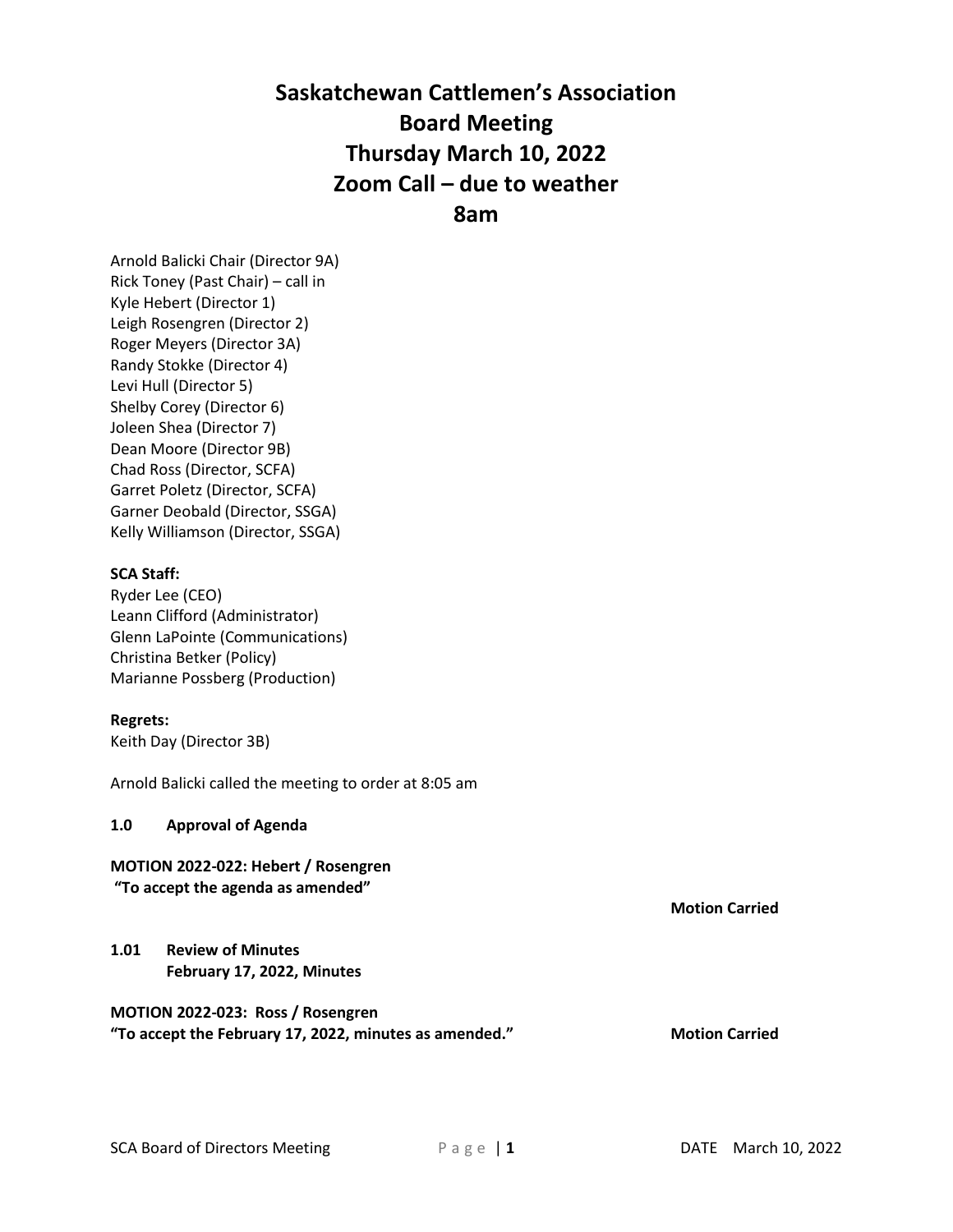# **Saskatchewan Cattlemen's Association Board Meeting Thursday March 10, 2022 Zoom Call – due to weather 8am**

Arnold Balicki Chair (Director 9A) Rick Toney (Past Chair) – call in Kyle Hebert (Director 1) Leigh Rosengren (Director 2) Roger Meyers (Director 3A) Randy Stokke (Director 4) Levi Hull (Director 5) Shelby Corey (Director 6) Joleen Shea (Director 7) Dean Moore (Director 9B) Chad Ross (Director, SCFA) Garret Poletz (Director, SCFA) Garner Deobald (Director, SSGA) Kelly Williamson (Director, SSGA)

### **SCA Staff:**

Ryder Lee (CEO) Leann Clifford (Administrator) Glenn LaPointe (Communications) Christina Betker (Policy) Marianne Possberg (Production)

### **Regrets:**

Keith Day (Director 3B)

Arnold Balicki called the meeting to order at 8:05 am

### **1.0 Approval of Agenda**

### **MOTION 2022-022: Hebert / Rosengren**

**"To accept the agenda as amended"**

**1.01 Review of Minutes February 17, 2022, Minutes**

### **MOTION 2022-023: Ross / Rosengren "To accept the February 17, 2022, minutes as amended." Motion Carried**

**Motion Carried**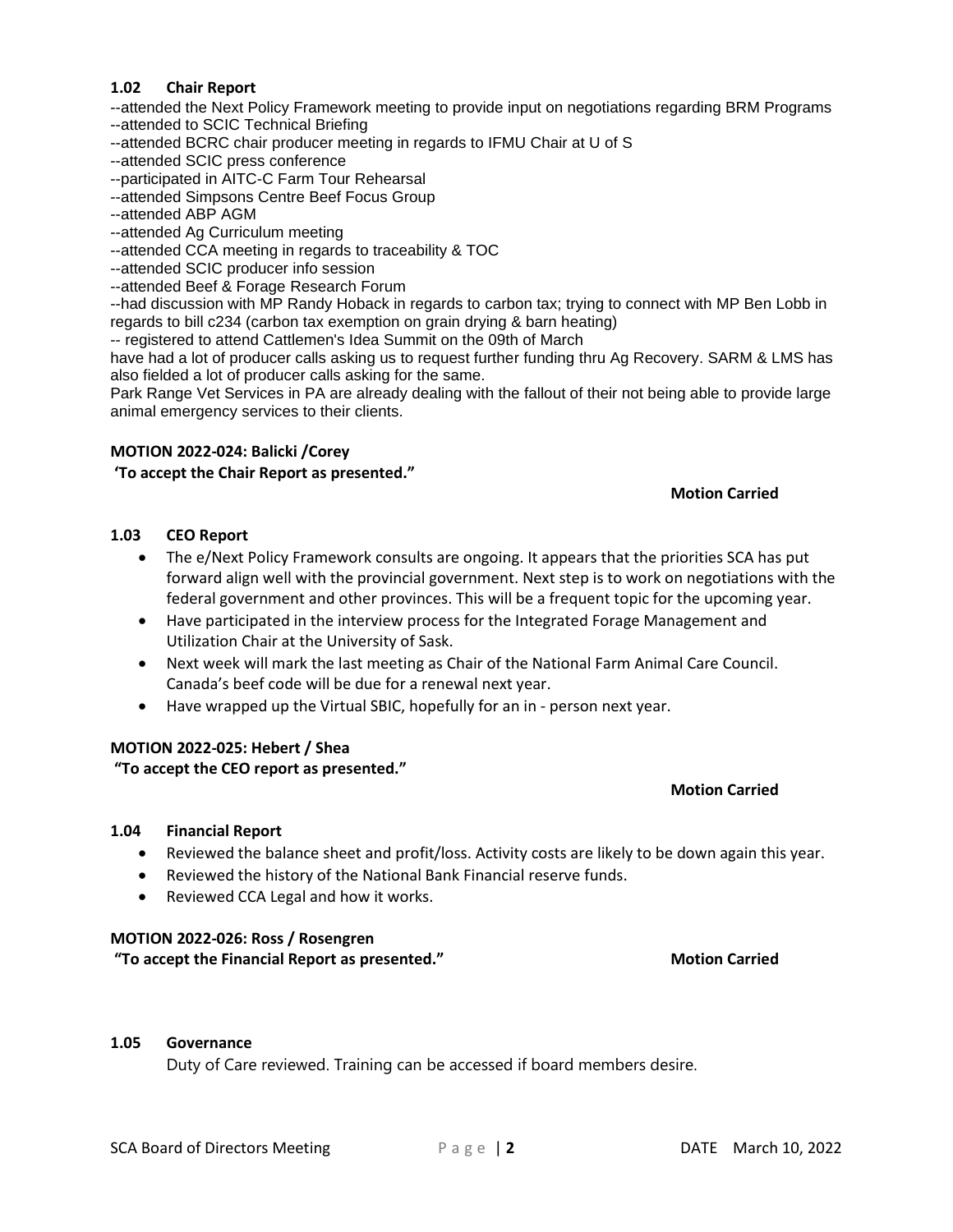#### **1.02 Chair Report**

--attended the Next Policy Framework meeting to provide input on negotiations regarding BRM Programs --attended to SCIC Technical Briefing

- --attended BCRC chair producer meeting in regards to IFMU Chair at U of S
- --attended SCIC press conference
- --participated in AITC-C Farm Tour Rehearsal
- --attended Simpsons Centre Beef Focus Group
- --attended ABP AGM
- --attended Ag Curriculum meeting
- --attended CCA meeting in regards to traceability & TOC
- --attended SCIC producer info session
- --attended Beef & Forage Research Forum

--had discussion with MP Randy Hoback in regards to carbon tax; trying to connect with MP Ben Lobb in regards to bill c234 (carbon tax exemption on grain drying & barn heating)

-- registered to attend Cattlemen's Idea Summit on the 09th of March

have had a lot of producer calls asking us to request further funding thru Ag Recovery. SARM & LMS has also fielded a lot of producer calls asking for the same.

Park Range Vet Services in PA are already dealing with the fallout of their not being able to provide large animal emergency services to their clients.

#### **MOTION 2022-024: Balicki /Corey**

#### **'To accept the Chair Report as presented."**

#### **Motion Carried**

**Motion Carried**

#### **1.03 CEO Report**

- The e/Next Policy Framework consults are ongoing. It appears that the priorities SCA has put forward align well with the provincial government. Next step is to work on negotiations with the federal government and other provinces. This will be a frequent topic for the upcoming year.
- Have participated in the interview process for the Integrated Forage Management and Utilization Chair at the University of Sask.
- Next week will mark the last meeting as Chair of the National Farm Animal Care Council. Canada's beef code will be due for a renewal next year.
- Have wrapped up the Virtual SBIC, hopefully for an in person next year.

#### **MOTION 2022-025: Hebert / Shea**

### **"To accept the CEO report as presented."**

#### **1.04 Financial Report**

- Reviewed the balance sheet and profit/loss. Activity costs are likely to be down again this year.
- Reviewed the history of the National Bank Financial reserve funds.
- Reviewed CCA Legal and how it works.

#### **MOTION 2022-026: Ross / Rosengren**

**"To accept the Financial Report as presented." Motion Carried**

#### **1.05 Governance**

Duty of Care reviewed. Training can be accessed if board members desire.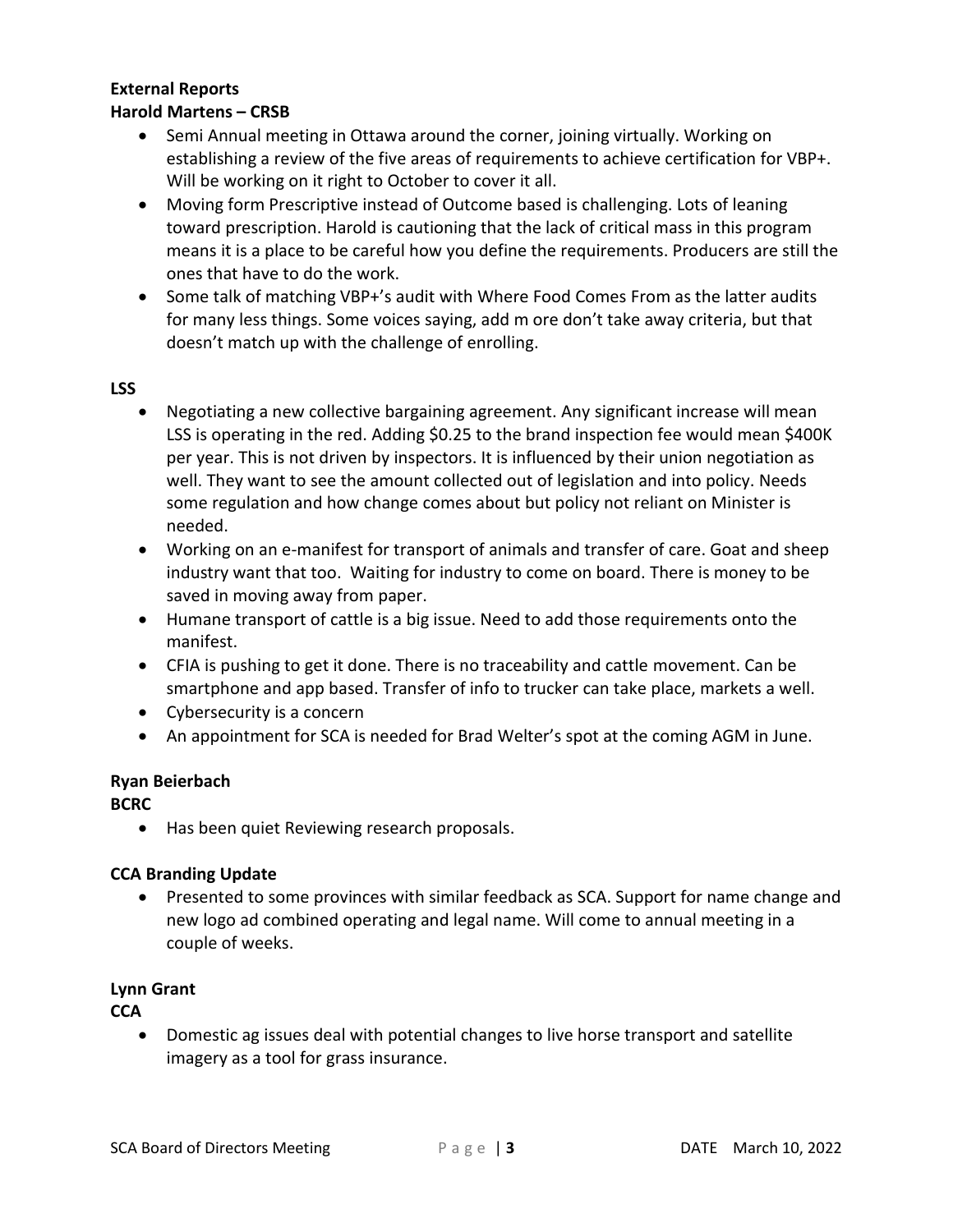# **External Reports**

### **Harold Martens – CRSB**

- Semi Annual meeting in Ottawa around the corner, joining virtually. Working on establishing a review of the five areas of requirements to achieve certification for VBP+. Will be working on it right to October to cover it all.
- Moving form Prescriptive instead of Outcome based is challenging. Lots of leaning toward prescription. Harold is cautioning that the lack of critical mass in this program means it is a place to be careful how you define the requirements. Producers are still the ones that have to do the work.
- Some talk of matching VBP+'s audit with Where Food Comes From as the latter audits for many less things. Some voices saying, add m ore don't take away criteria, but that doesn't match up with the challenge of enrolling.

### **LSS**

- Negotiating a new collective bargaining agreement. Any significant increase will mean LSS is operating in the red. Adding \$0.25 to the brand inspection fee would mean \$400K per year. This is not driven by inspectors. It is influenced by their union negotiation as well. They want to see the amount collected out of legislation and into policy. Needs some regulation and how change comes about but policy not reliant on Minister is needed.
- Working on an e-manifest for transport of animals and transfer of care. Goat and sheep industry want that too. Waiting for industry to come on board. There is money to be saved in moving away from paper.
- Humane transport of cattle is a big issue. Need to add those requirements onto the manifest.
- CFIA is pushing to get it done. There is no traceability and cattle movement. Can be smartphone and app based. Transfer of info to trucker can take place, markets a well.
- Cybersecurity is a concern
- An appointment for SCA is needed for Brad Welter's spot at the coming AGM in June.

# **Ryan Beierbach**

# **BCRC**

• Has been quiet Reviewing research proposals.

# **CCA Branding Update**

• Presented to some provinces with similar feedback as SCA. Support for name change and new logo ad combined operating and legal name. Will come to annual meeting in a couple of weeks.

# **Lynn Grant**

**CCA**

• Domestic ag issues deal with potential changes to live horse transport and satellite imagery as a tool for grass insurance.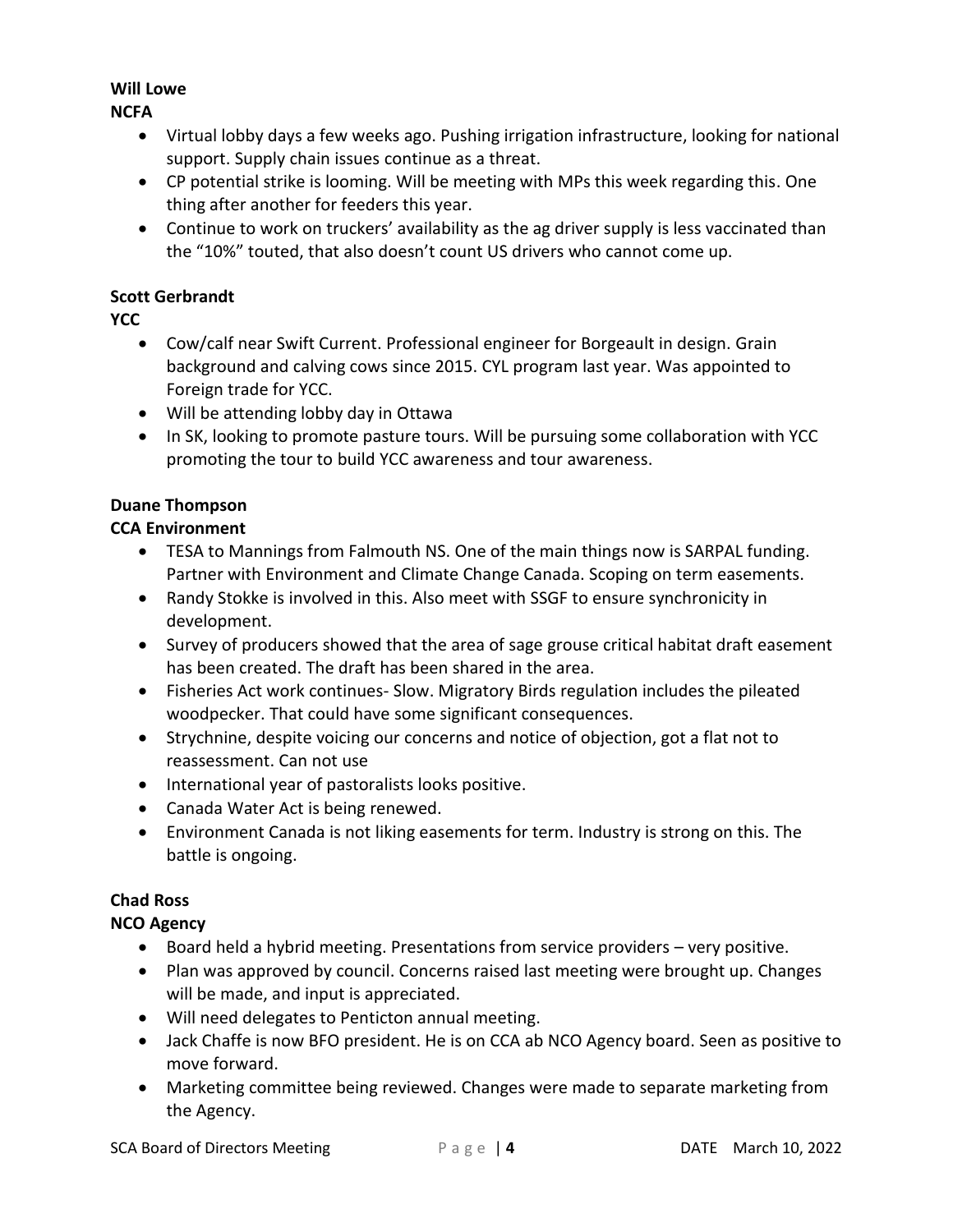# **Will Lowe**

**NCFA**

- Virtual lobby days a few weeks ago. Pushing irrigation infrastructure, looking for national support. Supply chain issues continue as a threat.
- CP potential strike is looming. Will be meeting with MPs this week regarding this. One thing after another for feeders this year.
- Continue to work on truckers' availability as the ag driver supply is less vaccinated than the "10%" touted, that also doesn't count US drivers who cannot come up.

### **Scott Gerbrandt**

**YCC**

- Cow/calf near Swift Current. Professional engineer for Borgeault in design. Grain background and calving cows since 2015. CYL program last year. Was appointed to Foreign trade for YCC.
- Will be attending lobby day in Ottawa
- In SK, looking to promote pasture tours. Will be pursuing some collaboration with YCC promoting the tour to build YCC awareness and tour awareness.

# **Duane Thompson**

# **CCA Environment**

- TESA to Mannings from Falmouth NS. One of the main things now is SARPAL funding. Partner with Environment and Climate Change Canada. Scoping on term easements.
- Randy Stokke is involved in this. Also meet with SSGF to ensure synchronicity in development.
- Survey of producers showed that the area of sage grouse critical habitat draft easement has been created. The draft has been shared in the area.
- Fisheries Act work continues- Slow. Migratory Birds regulation includes the pileated woodpecker. That could have some significant consequences.
- Strychnine, despite voicing our concerns and notice of objection, got a flat not to reassessment. Can not use
- International year of pastoralists looks positive.
- Canada Water Act is being renewed.
- Environment Canada is not liking easements for term. Industry is strong on this. The battle is ongoing.

# **Chad Ross**

# **NCO Agency**

- Board held a hybrid meeting. Presentations from service providers very positive.
- Plan was approved by council. Concerns raised last meeting were brought up. Changes will be made, and input is appreciated.
- Will need delegates to Penticton annual meeting.
- Jack Chaffe is now BFO president. He is on CCA ab NCO Agency board. Seen as positive to move forward.
- Marketing committee being reviewed. Changes were made to separate marketing from the Agency.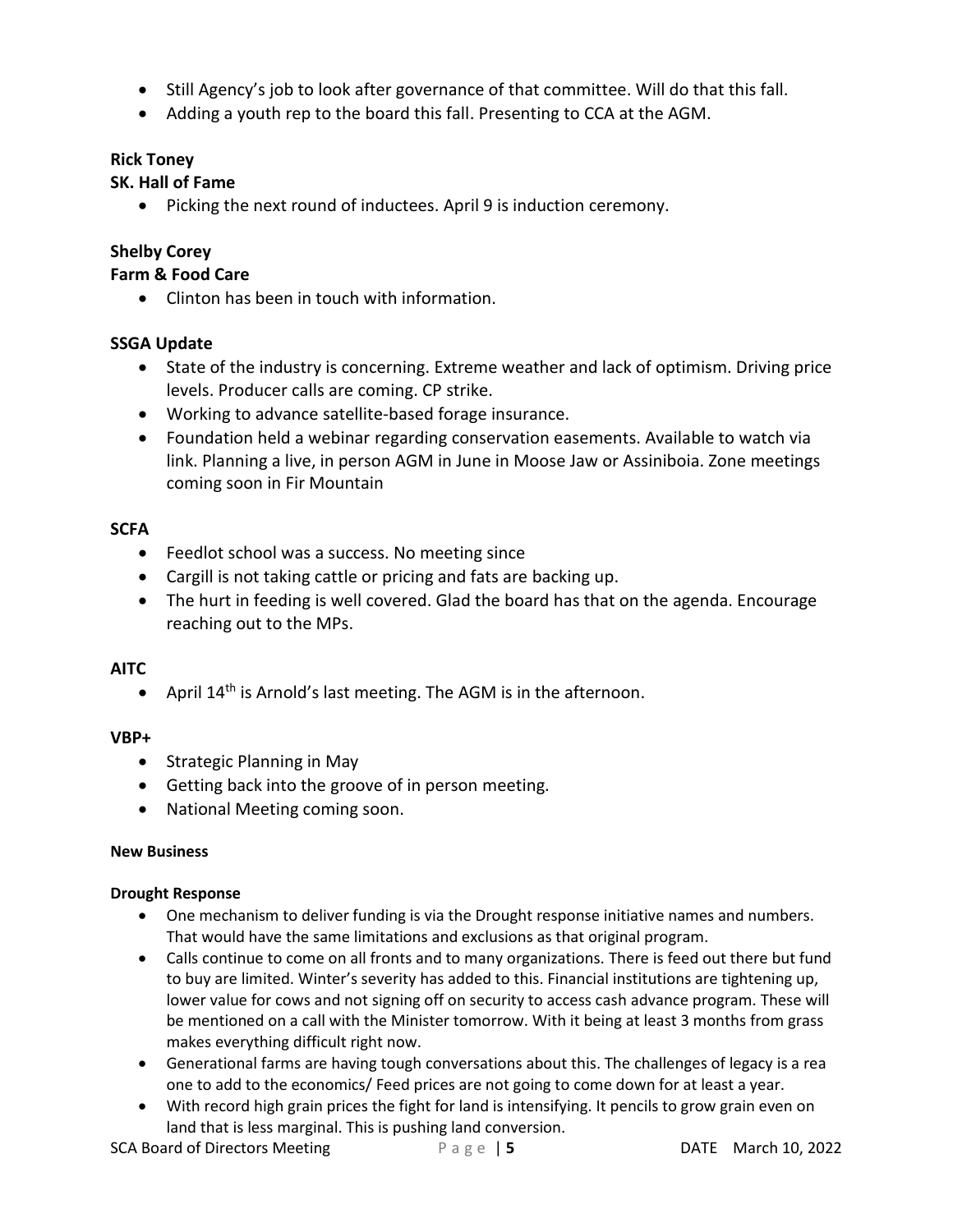- Still Agency's job to look after governance of that committee. Will do that this fall.
- Adding a youth rep to the board this fall. Presenting to CCA at the AGM.

### **Rick Toney**

### **SK. Hall of Fame**

• Picking the next round of inductees. April 9 is induction ceremony.

# **Shelby Corey**

### **Farm & Food Care**

• Clinton has been in touch with information.

# **SSGA Update**

- State of the industry is concerning. Extreme weather and lack of optimism. Driving price levels. Producer calls are coming. CP strike.
- Working to advance satellite-based forage insurance.
- Foundation held a webinar regarding conservation easements. Available to watch via link. Planning a live, in person AGM in June in Moose Jaw or Assiniboia. Zone meetings coming soon in Fir Mountain

### **SCFA**

- Feedlot school was a success. No meeting since
- Cargill is not taking cattle or pricing and fats are backing up.
- The hurt in feeding is well covered. Glad the board has that on the agenda. Encourage reaching out to the MPs.

# **AITC**

• April 14<sup>th</sup> is Arnold's last meeting. The AGM is in the afternoon.

### **VBP+**

- Strategic Planning in May
- Getting back into the groove of in person meeting.
- National Meeting coming soon.

### **New Business**

### **Drought Response**

- One mechanism to deliver funding is via the Drought response initiative names and numbers. That would have the same limitations and exclusions as that original program.
- Calls continue to come on all fronts and to many organizations. There is feed out there but fund to buy are limited. Winter's severity has added to this. Financial institutions are tightening up, lower value for cows and not signing off on security to access cash advance program. These will be mentioned on a call with the Minister tomorrow. With it being at least 3 months from grass makes everything difficult right now.
- Generational farms are having tough conversations about this. The challenges of legacy is a rea one to add to the economics/ Feed prices are not going to come down for at least a year.
- With record high grain prices the fight for land is intensifying. It pencils to grow grain even on land that is less marginal. This is pushing land conversion.

**SCA Board of Directors Meeting** Page | **5** DATE March 10, 2022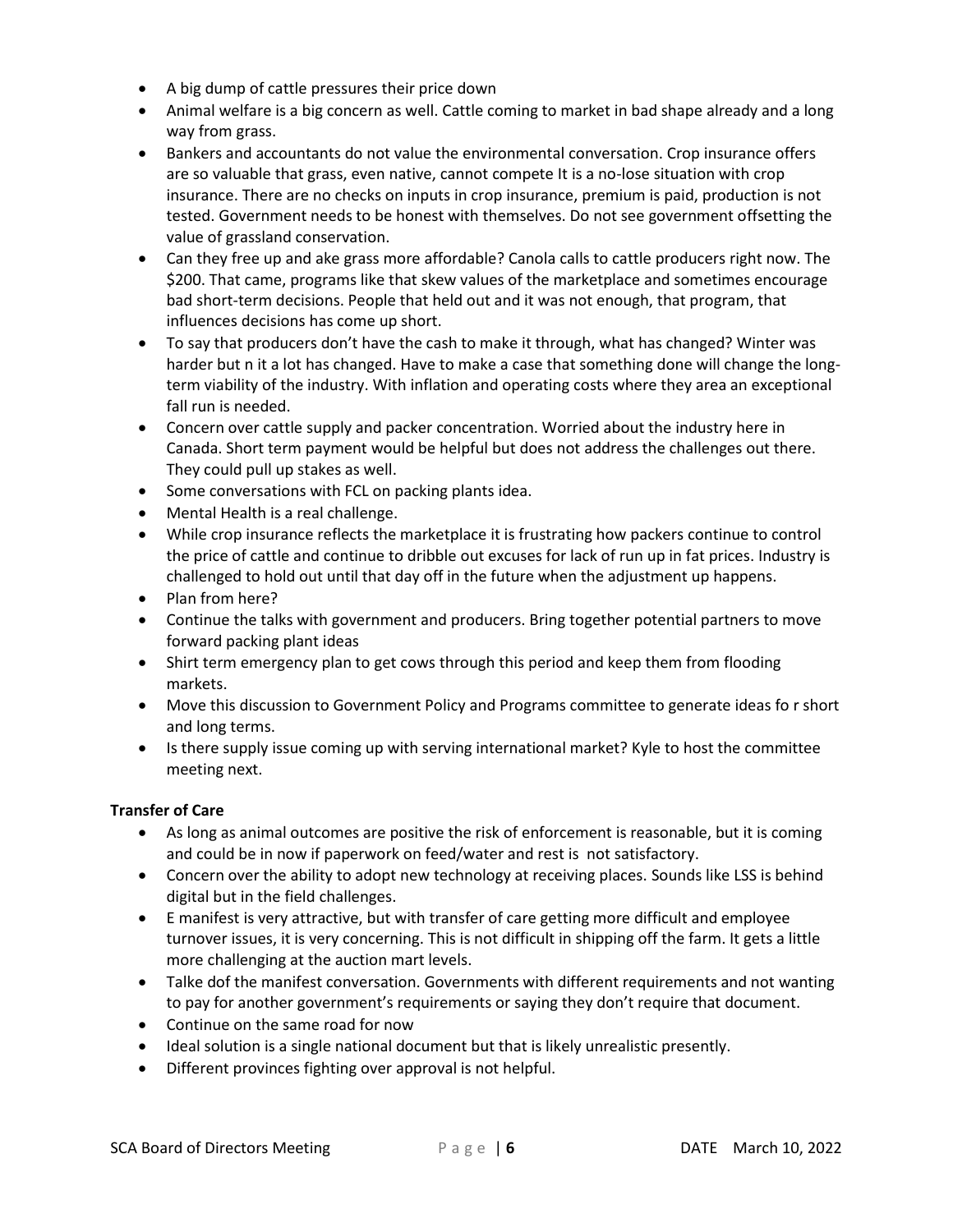- A big dump of cattle pressures their price down
- Animal welfare is a big concern as well. Cattle coming to market in bad shape already and a long way from grass.
- Bankers and accountants do not value the environmental conversation. Crop insurance offers are so valuable that grass, even native, cannot compete It is a no-lose situation with crop insurance. There are no checks on inputs in crop insurance, premium is paid, production is not tested. Government needs to be honest with themselves. Do not see government offsetting the value of grassland conservation.
- Can they free up and ake grass more affordable? Canola calls to cattle producers right now. The \$200. That came, programs like that skew values of the marketplace and sometimes encourage bad short-term decisions. People that held out and it was not enough, that program, that influences decisions has come up short.
- To say that producers don't have the cash to make it through, what has changed? Winter was harder but n it a lot has changed. Have to make a case that something done will change the longterm viability of the industry. With inflation and operating costs where they area an exceptional fall run is needed.
- Concern over cattle supply and packer concentration. Worried about the industry here in Canada. Short term payment would be helpful but does not address the challenges out there. They could pull up stakes as well.
- Some conversations with FCL on packing plants idea.
- Mental Health is a real challenge.
- While crop insurance reflects the marketplace it is frustrating how packers continue to control the price of cattle and continue to dribble out excuses for lack of run up in fat prices. Industry is challenged to hold out until that day off in the future when the adjustment up happens.
- Plan from here?
- Continue the talks with government and producers. Bring together potential partners to move forward packing plant ideas
- Shirt term emergency plan to get cows through this period and keep them from flooding markets.
- Move this discussion to Government Policy and Programs committee to generate ideas fo r short and long terms.
- Is there supply issue coming up with serving international market? Kyle to host the committee meeting next.

### **Transfer of Care**

- As long as animal outcomes are positive the risk of enforcement is reasonable, but it is coming and could be in now if paperwork on feed/water and rest is not satisfactory.
- Concern over the ability to adopt new technology at receiving places. Sounds like LSS is behind digital but in the field challenges.
- E manifest is very attractive, but with transfer of care getting more difficult and employee turnover issues, it is very concerning. This is not difficult in shipping off the farm. It gets a little more challenging at the auction mart levels.
- Talke dof the manifest conversation. Governments with different requirements and not wanting to pay for another government's requirements or saying they don't require that document.
- Continue on the same road for now
- Ideal solution is a single national document but that is likely unrealistic presently.
- Different provinces fighting over approval is not helpful.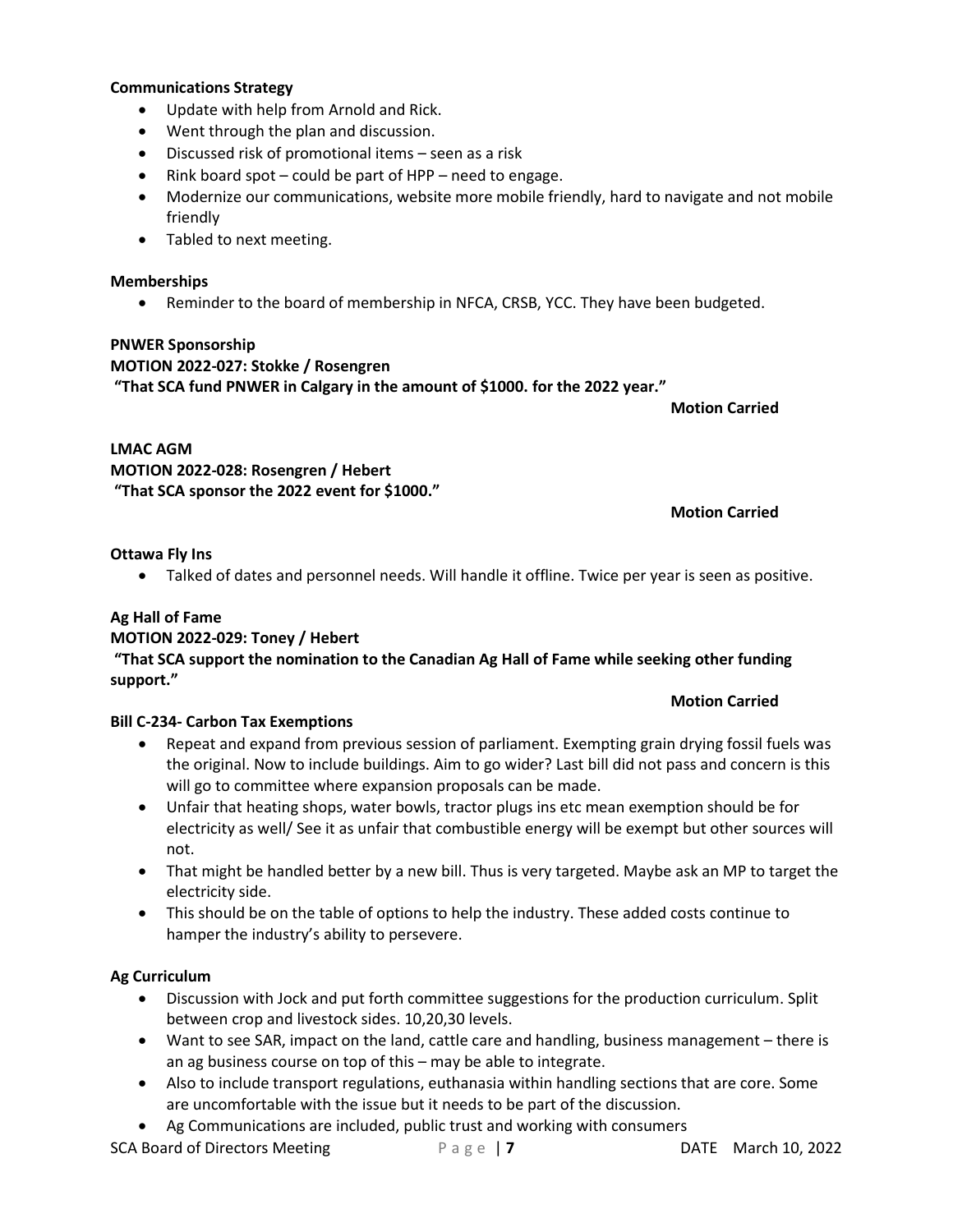#### **Communications Strategy**

- Update with help from Arnold and Rick.
- Went through the plan and discussion.
- Discussed risk of promotional items seen as a risk
- Rink board spot could be part of HPP need to engage.
- Modernize our communications, website more mobile friendly, hard to navigate and not mobile friendly
- Tabled to next meeting.

#### **Memberships**

• Reminder to the board of membership in NFCA, CRSB, YCC. They have been budgeted.

#### **PNWER Sponsorship**

**MOTION 2022-027: Stokke / Rosengren**

**"That SCA fund PNWER in Calgary in the amount of \$1000. for the 2022 year."**

**Motion Carried**

### **LMAC AGM MOTION 2022-028: Rosengren / Hebert "That SCA sponsor the 2022 event for \$1000."**

### **Motion Carried**

### **Ottawa Fly Ins**

• Talked of dates and personnel needs. Will handle it offline. Twice per year is seen as positive.

### **Ag Hall of Fame**

### **MOTION 2022-029: Toney / Hebert**

### **"That SCA support the nomination to the Canadian Ag Hall of Fame while seeking other funding support."**

### **Motion Carried**

### **Bill C-234- Carbon Tax Exemptions**

- Repeat and expand from previous session of parliament. Exempting grain drying fossil fuels was the original. Now to include buildings. Aim to go wider? Last bill did not pass and concern is this will go to committee where expansion proposals can be made.
- Unfair that heating shops, water bowls, tractor plugs ins etc mean exemption should be for electricity as well/ See it as unfair that combustible energy will be exempt but other sources will not.
- That might be handled better by a new bill. Thus is very targeted. Maybe ask an MP to target the electricity side.
- This should be on the table of options to help the industry. These added costs continue to hamper the industry's ability to persevere.

### **Ag Curriculum**

- Discussion with Jock and put forth committee suggestions for the production curriculum. Split between crop and livestock sides. 10,20,30 levels.
- Want to see SAR, impact on the land, cattle care and handling, business management there is an ag business course on top of this – may be able to integrate.
- Also to include transport regulations, euthanasia within handling sections that are core. Some are uncomfortable with the issue but it needs to be part of the discussion.
- Ag Communications are included, public trust and working with consumers

**SCA Board of Directors Meeting Page | 7** DATE March 10, 2022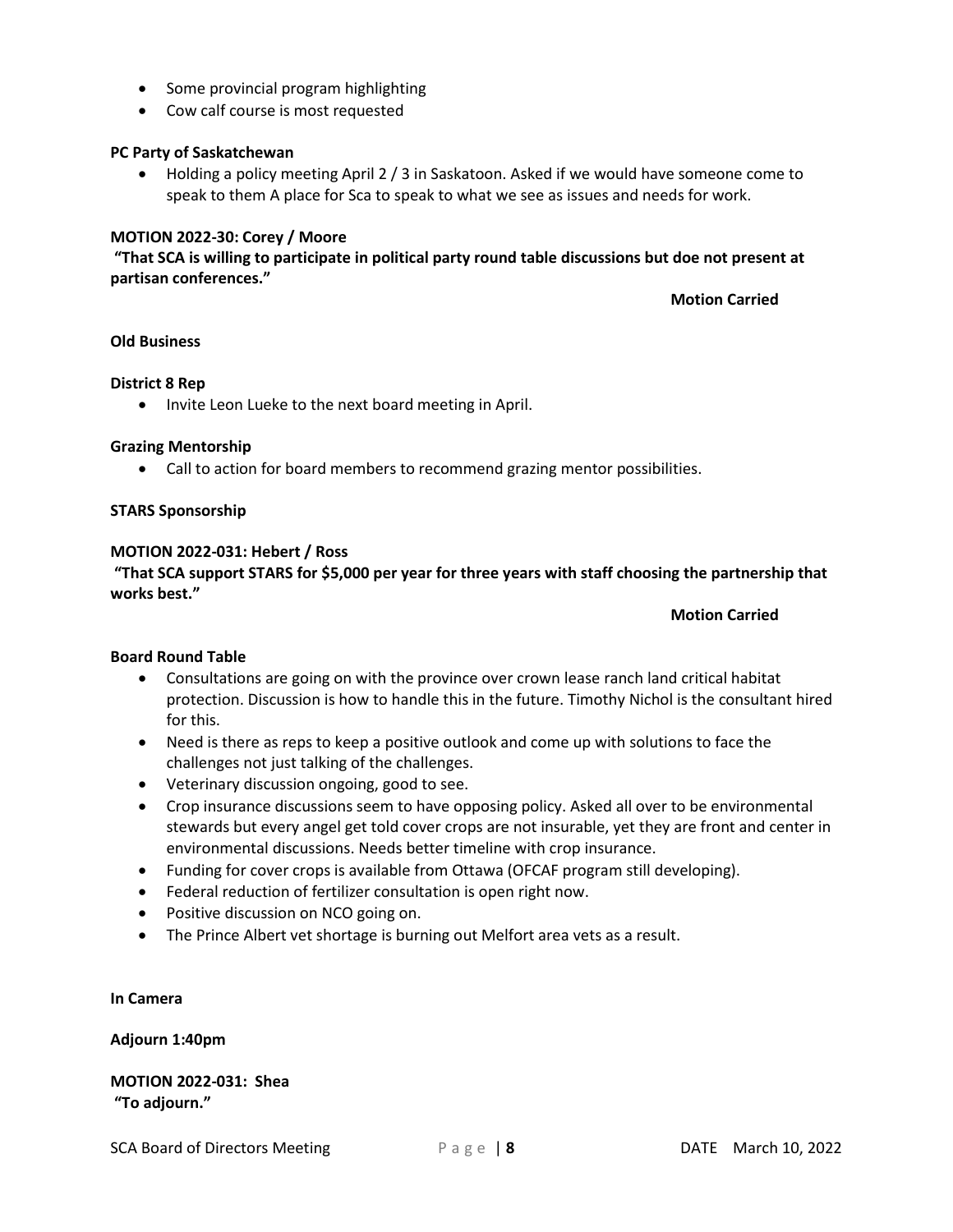- Some provincial program highlighting
- Cow calf course is most requested

#### **PC Party of Saskatchewan**

• Holding a policy meeting April 2 / 3 in Saskatoon. Asked if we would have someone come to speak to them A place for Sca to speak to what we see as issues and needs for work.

#### **MOTION 2022-30: Corey / Moore**

**"That SCA is willing to participate in political party round table discussions but doe not present at partisan conferences."**

**Motion Carried**

#### **Old Business**

#### **District 8 Rep**

• Invite Leon Lueke to the next board meeting in April.

#### **Grazing Mentorship**

• Call to action for board members to recommend grazing mentor possibilities.

#### **STARS Sponsorship**

#### **MOTION 2022-031: Hebert / Ross**

**"That SCA support STARS for \$5,000 per year for three years with staff choosing the partnership that works best."**

**Motion Carried**

### **Board Round Table**

- Consultations are going on with the province over crown lease ranch land critical habitat protection. Discussion is how to handle this in the future. Timothy Nichol is the consultant hired for this.
- Need is there as reps to keep a positive outlook and come up with solutions to face the challenges not just talking of the challenges.
- Veterinary discussion ongoing, good to see.
- Crop insurance discussions seem to have opposing policy. Asked all over to be environmental stewards but every angel get told cover crops are not insurable, yet they are front and center in environmental discussions. Needs better timeline with crop insurance.
- Funding for cover crops is available from Ottawa (OFCAF program still developing).
- Federal reduction of fertilizer consultation is open right now.
- Positive discussion on NCO going on.
- The Prince Albert vet shortage is burning out Melfort area vets as a result.

**In Camera**

**Adjourn 1:40pm**

**MOTION 2022-031: Shea "To adjourn."**